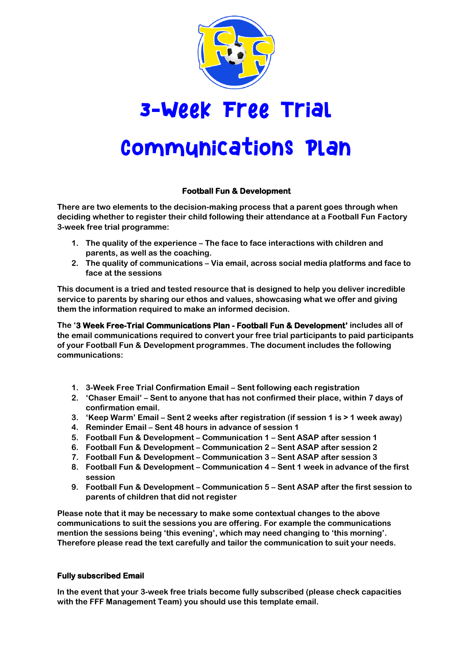

# 3-Week Free Trial

# **Communications Plan**

# **Football Fun & Development**

**There are two elements to the decision-making process that a parent goes through when deciding whether to register their child following their attendance at a Football Fun Factory 3-week free trial programme:**

- **1. The quality of the experience – The face to face interactions with children and parents, as well as the coaching.**
- **2. The quality of communications – Via email, across social media platforms and face to face at the sessions**

**This document is a tried and tested resource that is designed to help you deliver incredible service to parents by sharing our ethos and values, showcasing what we offer and giving them the information required to make an informed decision.**

**The '3 Week Free-Trial Communications Plan - Football Fun & Development' includes all of the email communications required to convert your free trial participants to paid participants of your Football Fun & Development programmes. The document includes the following communications:**

- **1. 3-Week Free Trial Confirmation Email – Sent following each registration**
- **2. 'Chaser Email' – Sent to anyone that has not confirmed their place, within 7 days of confirmation email.**
- **3. 'Keep Warm' Email – Sent 2 weeks after registration (if session 1 is > 1 week away)**
- **4. Reminder Email – Sent 48 hours in advance of session 1**
- **5. Football Fun & Development – Communication 1 – Sent ASAP after session 1**
- **6. Football Fun & Development – Communication 2 – Sent ASAP after session 2**
- **7. Football Fun & Development – Communication 3 – Sent ASAP after session 3**
- **8. Football Fun & Development – Communication 4 – Sent 1 week in advance of the first session**
- **9. Football Fun & Development – Communication 5 – Sent ASAP after the first session to parents of children that did not register**

**Please note that it may be necessary to make some contextual changes to the above communications to suit the sessions you are offering. For example the communications mention the sessions being 'this evening', which may need changing to 'this morning'. Therefore please read the text carefully and tailor the communication to suit your needs.**

# **Fully subscribed Email**

**In the event that your 3-week free trials become fully subscribed (please check capacities with the FFF Management Team) you should use this template email.**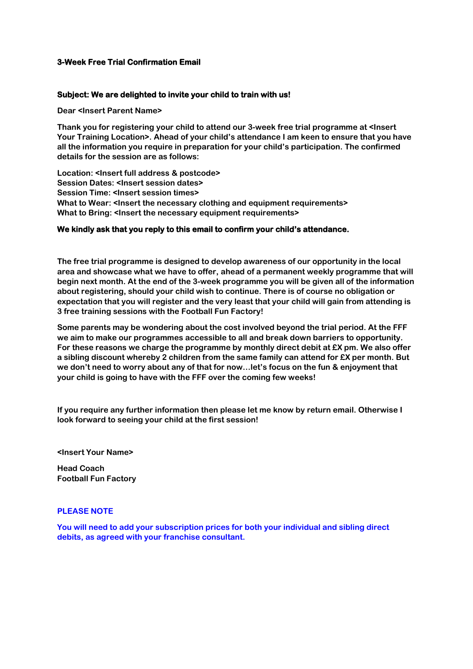# **3-Week Free Trial Confirmation Email**

#### **Subject: We are delighted to invite your child to train with us!**

**Dear <Insert Parent Name>**

**Thank you for registering your child to attend our 3-week free trial programme at <Insert Your Training Location>. Ahead of your child's attendance I am keen to ensure that you have all the information you require in preparation for your child's participation. The confirmed details for the session are as follows:**

**Location: <Insert full address & postcode> Session Dates: <Insert session dates> Session Time: <Insert session times> What to Wear: <Insert the necessary clothing and equipment requirements> What to Bring: <Insert the necessary equipment requirements>**

#### **We kindly ask that you reply to this email to confirm your child's attendance.**

**The free trial programme is designed to develop awareness of our opportunity in the local area and showcase what we have to offer, ahead of a permanent weekly programme that will begin next month. At the end of the 3-week programme you will be given all of the information about registering, should your child wish to continue. There is of course no obligation or expectation that you will register and the very least that your child will gain from attending is 3 free training sessions with the Football Fun Factory!**

**Some parents may be wondering about the cost involved beyond the trial period. At the FFF we aim to make our programmes accessible to all and break down barriers to opportunity. For these reasons we charge the programme by monthly direct debit at £X pm. We also offer a sibling discount whereby 2 children from the same family can attend for £X per month. But we don't need to worry about any of that for now…let's focus on the fun & enjoyment that your child is going to have with the FFF over the coming few weeks!**

**If you require any further information then please let me know by return email. Otherwise I look forward to seeing your child at the first session!**

**<Insert Your Name>**

**Head Coach Football Fun Factory**

#### **PLEASE NOTE**

**You will need to add your subscription prices for both your individual and sibling direct debits, as agreed with your franchise consultant.**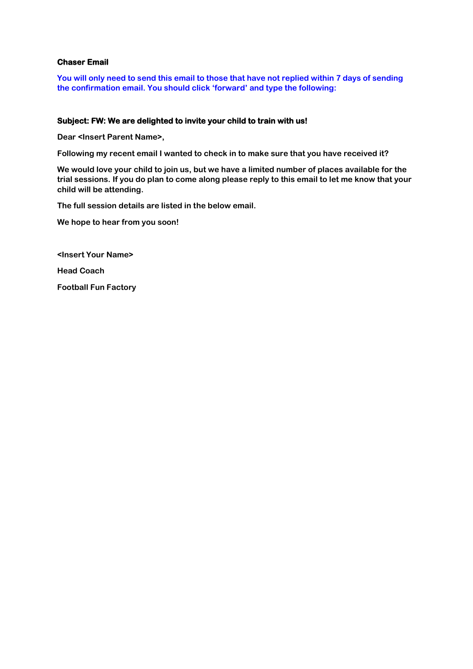# **Chaser Email**

**You will only need to send this email to those that have not replied within 7 days of sending the confirmation email. You should click 'forward' and type the following:** 

# **Subject: FW: We are delighted to invite your child to train with us!**

**Dear <Insert Parent Name>,**

**Following my recent email I wanted to check in to make sure that you have received it?**

**We would love your child to join us, but we have a limited number of places available for the trial sessions. If you do plan to come along please reply to this email to let me know that your child will be attending.**

**The full session details are listed in the below email.**

**We hope to hear from you soon!**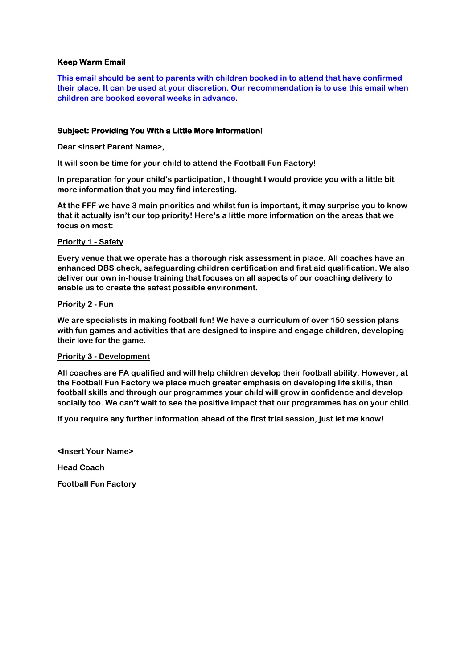# **Keep Warm Email**

**This email should be sent to parents with children booked in to attend that have confirmed their place. It can be used at your discretion. Our recommendation is to use this email when children are booked several weeks in advance.** 

#### **Subject: Providing You With a Little More Information!**

**Dear <Insert Parent Name>,**

**It will soon be time for your child to attend the Football Fun Factory!**

**In preparation for your child's participation, I thought I would provide you with a little bit more information that you may find interesting.**

**At the FFF we have 3 main priorities and whilst fun is important, it may surprise you to know that it actually isn't our top priority! Here's a little more information on the areas that we focus on most:**

#### **Priority 1 - Safety**

**Every venue that we operate has a thorough risk assessment in place. All coaches have an enhanced DBS check, safeguarding children certification and first aid qualification. We also deliver our own in-house training that focuses on all aspects of our coaching delivery to enable us to create the safest possible environment.**

#### **Priority 2 - Fun**

**We are specialists in making football fun! We have a curriculum of over 150 session plans with fun games and activities that are designed to inspire and engage children, developing their love for the game.** 

#### **Priority 3 - Development**

**All coaches are FA qualified and will help children develop their football ability. However, at the Football Fun Factory we place much greater emphasis on developing life skills, than football skills and through our programmes your child will grow in confidence and develop socially too. We can't wait to see the positive impact that our programmes has on your child.**

**If you require any further information ahead of the first trial session, just let me know!**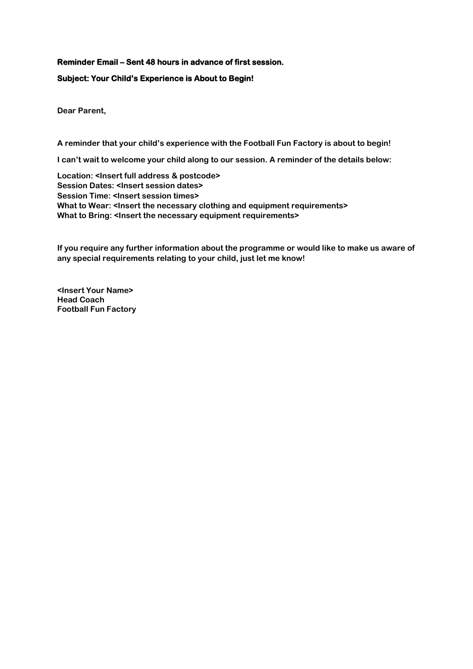# **Reminder Email – Sent 48 hours in advance of first session.**

# **Subject: Your Child's Experience is About to Begin!**

**Dear Parent,**

**A reminder that your child's experience with the Football Fun Factory is about to begin!**

**I can't wait to welcome your child along to our session. A reminder of the details below:**

**Location: <Insert full address & postcode> Session Dates: <Insert session dates> Session Time: <Insert session times>**  What to Wear: <Insert the necessary clothing and equipment requirements> **What to Bring: <Insert the necessary equipment requirements>**

**If you require any further information about the programme or would like to make us aware of any special requirements relating to your child, just let me know!**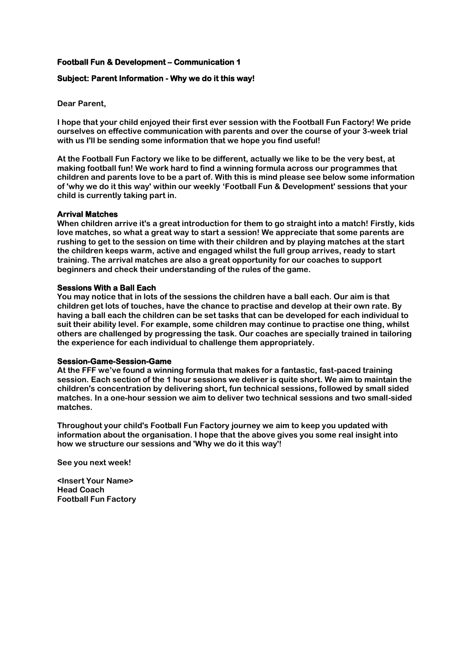#### **Subject: Parent Information - Why we do it this way!**

**Dear Parent,**

**I hope that your child enjoyed their first ever session with the Football Fun Factory! We pride ourselves on effective communication with parents and over the course of your 3-week trial with us I'll be sending some information that we hope you find useful!**

**At the Football Fun Factory we like to be different, actually we like to be the very best, at making football fun! We work hard to find a winning formula across our programmes that children and parents love to be a part of. With this is mind please see below some information of 'why we do it this way' within our weekly 'Football Fun & Development' sessions that your child is currently taking part in.**

#### **Arrival Matches**

**When children arrive it's a great introduction for them to go straight into a match! Firstly, kids love matches, so what a great way to start a session! We appreciate that some parents are rushing to get to the session on time with their children and by playing matches at the start the children keeps warm, active and engaged whilst the full group arrives, ready to start training. The arrival matches are also a great opportunity for our coaches to support beginners and check their understanding of the rules of the game.**

#### **Sessions With a Ball Each**

**You may notice that in lots of the sessions the children have a ball each. Our aim is that children get lots of touches, have the chance to practise and develop at their own rate. By having a ball each the children can be set tasks that can be developed for each individual to suit their ability level. For example, some children may continue to practise one thing, whilst others are challenged by progressing the task. Our coaches are specially trained in tailoring the experience for each individual to challenge them appropriately.**

#### **Session-Game-Session-Game**

**At the FFF we've found a winning formula that makes for a fantastic, fast-paced training session. Each section of the 1 hour sessions we deliver is quite short. We aim to maintain the children's concentration by delivering short, fun technical sessions, followed by small sided matches. In a one-hour session we aim to deliver two technical sessions and two small-sided matches.**

**Throughout your child's Football Fun Factory journey we aim to keep you updated with information about the organisation. I hope that the above gives you some real insight into how we structure our sessions and 'Why we do it this way'!**

**See you next week!**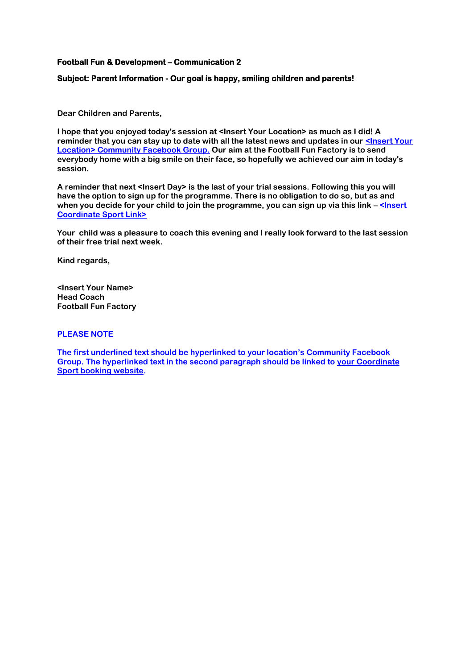#### **Subject: Parent Information - Our goal is happy, smiling children and parents!**

**Dear Children and Parents,**

**I hope that you enjoyed today's session at <Insert Your Location> as much as I did! A**  reminder that you can stay up to date with all the latest news and updates in our **<Insert Your Location> [Community Facebook Group.](https://www.facebook.com/groups/609299859835855/?ref=br_tf&epa=SEARCH_BOX) Our aim at the Football Fun Factory is to send everybody home with a big smile on their face, so hopefully we achieved our aim in today's session.**

**A reminder that next <Insert Day> is the last of your trial sessions. Following this you will have the option to sign up for the programme. There is no obligation to do so, but as and when you decide for your child to join the programme, you can sign up via this link – <Insert Coordinate Sport Link>**

**Your child was a pleasure to coach this evening and I really look forward to the last session of their free trial next week.**

**Kind regards,**

**<Insert Your Name> Head Coach Football Fun Factory**

#### **PLEASE NOTE**

**The first underlined text should be hyperlinked to your location's Community Facebook Group. The hyperlinked text in the second paragraph should be linked to [your](http://www.thefootballfunfactory.co.uk/) Coordinate Sport booking website.**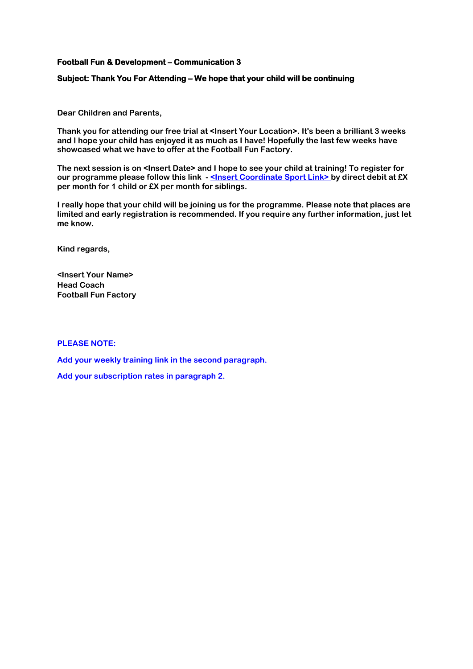#### **Subject: Thank You For Attending – We hope that your child will be continuing**

**Dear Children and Parents,**

**Thank you for attending our free trial at <Insert Your Location>. It's been a brilliant 3 weeks and I hope your child has enjoyed it as much as I have! Hopefully the last few weeks have showcased what we have to offer at the Football Fun Factory.** 

**The next session is on <Insert Date> and I hope to see your child at training! To register for our programme please follow this link - < Insert Coordinate Sport Link> by direct debit at £X per month for 1 child or £X per month for siblings.** 

**I really hope that your child will be joining us for the programme. Please note that places are limited and early registration is recommended. If you require any further information, just let me know.**

**Kind regards,**

**<Insert Your Name> Head Coach Football Fun Factory**

#### **PLEASE NOTE:**

**Add your weekly training link in the second paragraph.**

**Add your subscription rates in paragraph 2.**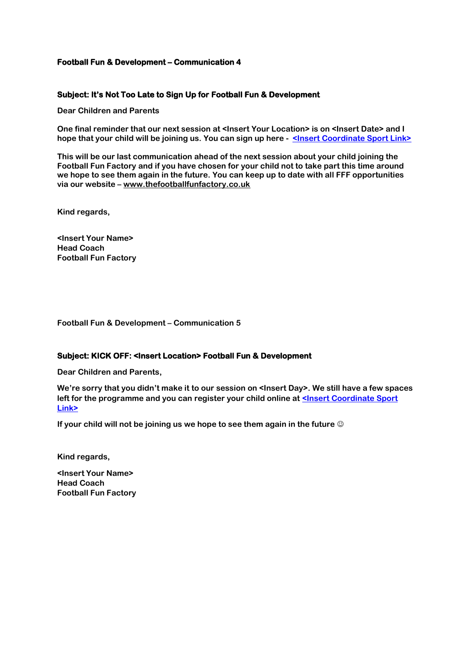# **Subject: It's Not Too Late to Sign Up for Football Fun & Development**

**Dear Children and Parents**

**One final reminder that our next session at <Insert Your Location> is on <Insert Date> and I hope that your child will be joining us. You can sign up here - <Insert Coordinate Sport Link>**

**This will be our last communication ahead of the next session about your child joining the Football Fun Factory and if you have chosen for your child not to take part this time around we hope to see them again in the future. You can keep up to date with all FFF opportunities via our website – [www.thefootballfunfactory.co.uk](http://www.thefootballfunfactory.co.uk/)**

**Kind regards,**

**<Insert Your Name> Head Coach Football Fun Factory**

**Football Fun & Development – Communication 5** 

# **Subject: KICK OFF: <Insert Location> Football Fun & Development**

**Dear Children and Parents,**

**We're sorry that you didn't make it to our session on <Insert Day>. We still have a few spaces**  left for the programme and you can register your child online at <Insert Coordinate Sport **Link>**

**If your child will not be joining us we hope to see them again in the future**  $\circledcirc$ 

**Kind regards,**